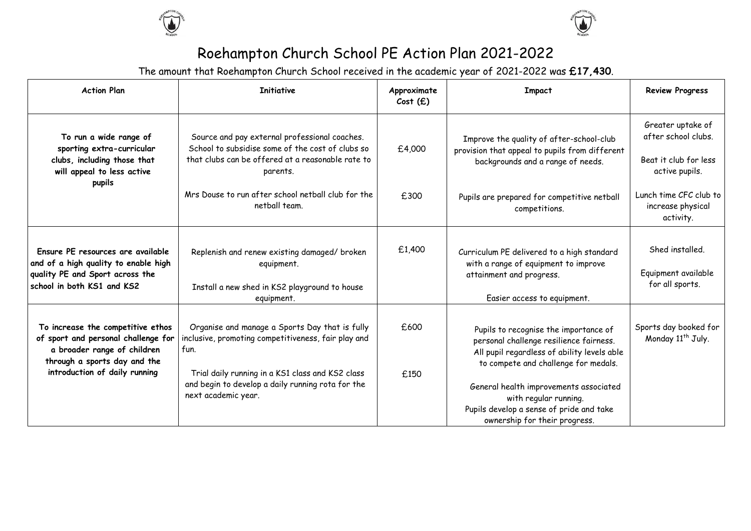



## Roehampton Church School PE Action Plan 2021-2022

The amount that Roehampton Church School received in the academic year of 2021-2022 was **£17,430**.

| <b>Action Plan</b>                                                                                                                                                       | <b>Initiative</b>                                                                                                                                                                                                                             | Approximate<br>Cost(f) | <b>Impact</b>                                                                                                                                                                                                                              | <b>Review Progress</b>                                                              |
|--------------------------------------------------------------------------------------------------------------------------------------------------------------------------|-----------------------------------------------------------------------------------------------------------------------------------------------------------------------------------------------------------------------------------------------|------------------------|--------------------------------------------------------------------------------------------------------------------------------------------------------------------------------------------------------------------------------------------|-------------------------------------------------------------------------------------|
| To run a wide range of<br>sporting extra-curricular<br>clubs, including those that<br>will appeal to less active                                                         | Source and pay external professional coaches.<br>School to subsidise some of the cost of clubs so<br>that clubs can be offered at a reasonable rate to<br>parents.                                                                            | £4,000                 | Improve the quality of after-school-club<br>provision that appeal to pupils from different<br>backgrounds and a range of needs.                                                                                                            | Greater uptake of<br>after school clubs.<br>Beat it club for less<br>active pupils. |
| pupils                                                                                                                                                                   | Mrs Douse to run after school netball club for the<br>netball team.                                                                                                                                                                           | £300                   | Pupils are prepared for competitive netball<br>competitions.                                                                                                                                                                               | Lunch time CFC club to<br>increase physical<br>activity.                            |
| Ensure PE resources are available<br>and of a high quality to enable high<br>quality PE and Sport across the<br>school in both KS1 and KS2                               | Replenish and renew existing damaged/ broken<br>equipment.<br>Install a new shed in KS2 playground to house<br>equipment.                                                                                                                     | £1,400                 | Curriculum PE delivered to a high standard<br>with a range of equipment to improve<br>attainment and progress.<br>Easier access to equipment.                                                                                              | Shed installed.<br>Equipment available<br>for all sports.                           |
| To increase the competitive ethos<br>of sport and personal challenge for<br>a broader range of children<br>through a sports day and the<br>introduction of daily running | Organise and manage a Sports Day that is fully<br>inclusive, promoting competitiveness, fair play and<br>fun.<br>Trial daily running in a KS1 class and KS2 class<br>and begin to develop a daily running rota for the<br>next academic year. | £600<br>£150           | Pupils to recognise the importance of<br>personal challenge resilience fairness.<br>All pupil regardless of ability levels able<br>to compete and challenge for medals.<br>General health improvements associated<br>with regular running. | Sports day booked for<br>Monday 11 <sup>th</sup> July.                              |
|                                                                                                                                                                          |                                                                                                                                                                                                                                               |                        | Pupils develop a sense of pride and take<br>ownership for their progress.                                                                                                                                                                  |                                                                                     |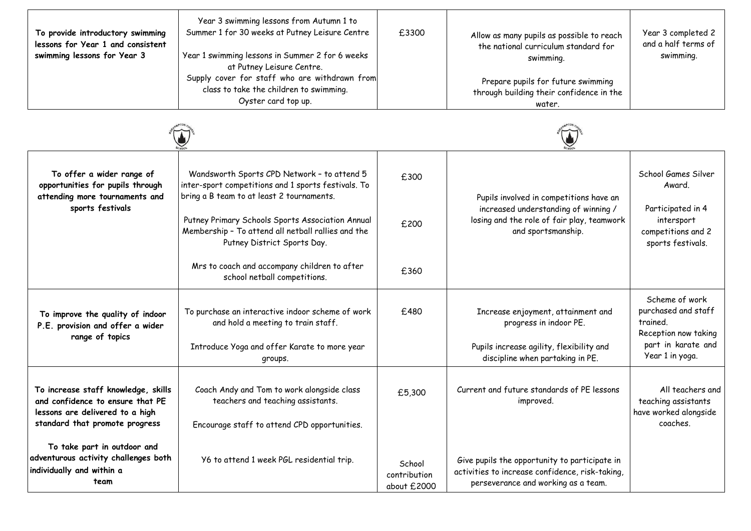| To provide introductory swimming<br>lessons for Year 1 and consistent<br>swimming lessons for Year 3 | Year 3 swimming lessons from Autumn 1 to<br>Summer 1 for 30 weeks at Putney Leisure Centre<br>Year 1 swimming lessons in Summer 2 for 6 weeks<br>at Putney Leisure Centre.<br>Supply cover for staff who are withdrawn from<br>class to take the children to swimming.<br>Oyster card top up. | £3300 | Allow as many pupils as possible to reach<br>the national curriculum standard for<br>swimming.<br>Prepare pupils for future swimming<br>through building their confidence in the<br>water. | Year 3 completed 2<br>and a half terms of<br>swimming. |
|------------------------------------------------------------------------------------------------------|-----------------------------------------------------------------------------------------------------------------------------------------------------------------------------------------------------------------------------------------------------------------------------------------------|-------|--------------------------------------------------------------------------------------------------------------------------------------------------------------------------------------------|--------------------------------------------------------|
|                                                                                                      |                                                                                                                                                                                                                                                                                               |       |                                                                                                                                                                                            |                                                        |

| To offer a wider range of<br>opportunities for pupils through<br>attending more tournaments and<br>sports festivals                          | Wandsworth Sports CPD Network - to attend 5<br>inter-sport competitions and 1 sports festivals. To<br>bring a B team to at least 2 tournaments.<br>Putney Primary Schools Sports Association Annual<br>Membership - To attend all netball rallies and the<br>Putney District Sports Day. | £300<br>£200                          | Pupils involved in competitions have an<br>increased understanding of winning /<br>losing and the role of fair play, teamwork<br>and sportsmanship. | School Games Silver<br>Award.<br>Participated in 4<br>intersport<br>competitions and 2<br>sports festivals.        |
|----------------------------------------------------------------------------------------------------------------------------------------------|------------------------------------------------------------------------------------------------------------------------------------------------------------------------------------------------------------------------------------------------------------------------------------------|---------------------------------------|-----------------------------------------------------------------------------------------------------------------------------------------------------|--------------------------------------------------------------------------------------------------------------------|
|                                                                                                                                              | Mrs to coach and accompany children to after<br>school netball competitions.                                                                                                                                                                                                             | £360                                  |                                                                                                                                                     |                                                                                                                    |
| To improve the quality of indoor<br>P.E. provision and offer a wider<br>range of topics                                                      | To purchase an interactive indoor scheme of work<br>and hold a meeting to train staff.<br>Introduce Yoga and offer Karate to more year<br>groups.                                                                                                                                        | £480                                  | Increase enjoyment, attainment and<br>progress in indoor PE.<br>Pupils increase agility, flexibility and<br>discipline when partaking in PE.        | Scheme of work<br>purchased and staff<br>trained.<br>Reception now taking<br>part in karate and<br>Year 1 in yoga. |
| To increase staff knowledge, skills<br>and confidence to ensure that PE<br>lessons are delivered to a high<br>standard that promote progress | Coach Andy and Tom to work alongside class<br>teachers and teaching assistants.<br>Encourage staff to attend CPD opportunities.                                                                                                                                                          | £5,300                                | Current and future standards of PE lessons<br>improved.                                                                                             | All teachers and<br>teaching assistants<br>have worked alongside<br>coaches.                                       |
| To take part in outdoor and<br>adventurous activity challenges both<br>individually and within a<br>team                                     | Y6 to attend 1 week PGL residential trip.                                                                                                                                                                                                                                                | School<br>contribution<br>about £2000 | Give pupils the opportunity to participate in<br>activities to increase confidence, risk-taking,<br>perseverance and working as a team.             |                                                                                                                    |